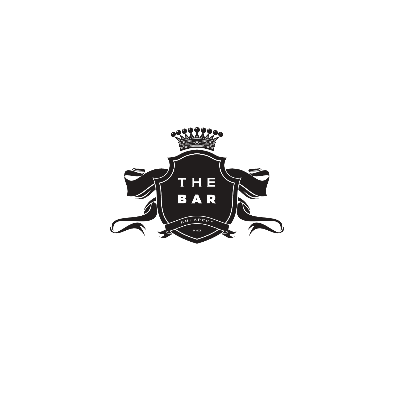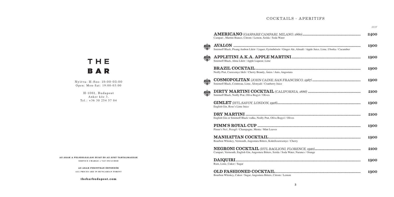#### COCKTAILS - APERITIFS

 $TTTTT$ 

| Campari, Martini Bianco, Citrom / Lemon, Szóda / Soda Water                                                         | 2400 |
|---------------------------------------------------------------------------------------------------------------------|------|
| Smirnoff Black, Pisang Ambon Likör / Liquer, Gyömbérsör / Ginger Ale, Almalé / Apple Juice, Lime, Uborka / Cucumber | 1900 |
| Smirnoff Black, Alma Likör / Apple Liqueur, Lime                                                                    | 1900 |
| Noilly Prat, Cseresznye likőr / Cherry Brandy, Ánizs / Anis, Angostura                                              | 1900 |
| Smirnoff Black, Cointreau, Lime, Áfonyalé / Cranberry Juice                                                         | 1900 |
| Smirnoff Black, Noilly Prat, Olíva Bogyó / Olives                                                                   | 2100 |
| English Gin, Rose's Lime Juice                                                                                      | 1900 |
| English Gin or Smirnoff Black vodka, Noilly Prat, Olíva Bogyó / Olives                                              | 2100 |
| Pimm's No1, Pezsgő / Champagne, Menta / Mint Leaves                                                                 | 1900 |
| Bourbon Whiskey, Vermouth, Angostura Bitters, Koktélcseresznye / Cherry                                             | 1900 |
| Campari, Vermouth, English Gin, Angostura Bitters, Szóda / Soda Water, Narancs / Orange                             | 2100 |
| Rum, Lime, Cukor / Sugar                                                                                            | 1900 |
| Bourbon Whiskey, Cukor / Sugar, Angostura Bitters, Citrom / Lemon                                                   | 1900 |

# THE **BAR**

Nyitva: H-Szo: 19:00-03:00 Open: Mon-Sat: 19:00-03:00

H-1061, Budapest Anker köz 3.  $Tel: +36302545704$ 

AZ ÁRAK A FELSZOLGÁLÁSI DÍJAT ÉS AZ ÁFÁT TARTALMAZZÁK **SERVICE CHARGE + VAT INCLUDED** 

> **A Z Á R A K F O R I N T BA N É RT E N D Ő K** ALL PRICES ARE IN HUNGARIAN FORINT

> > **t h eb a rb u d a p e s t . c o m**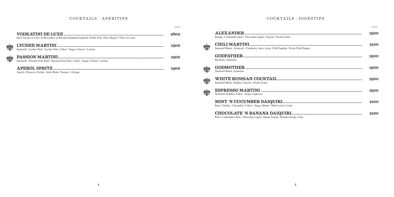# COCKTAILS - APERITIFS

|   |                                                                                                         | <b>HUF</b> |
|---|---------------------------------------------------------------------------------------------------------|------------|
|   | Grey Goose or Ciroc or Belvedere or Russian Standard Imperial, Noilly Prat, Olíva Bogyó / Olive or Lime | 2800       |
| 鱳 | Smirnoff, Lychee Püré / Lychee Pure, Cukor / Sugar, Citrom / Lemon                                      | 1900       |
|   | Smirnoff, Passion Fruit Püré / Passion Fruit Pure, Cukor / Sugar, Citrom / Lemon                        | 1900       |
|   | Aperol, Prosecco, Szóda / Soda Water, Narancs / Orange                                                  | 1900       |

# COCKTAILS - DIGESTIFS

|                                                                                      | HUF  |
|--------------------------------------------------------------------------------------|------|
| Brandy, Csokoládé Líkör / Chocolate Liquer, Tejszín / Fresh Cream                    | 1900 |
| Smirnoff Black, Áfonyalé / Cranberry Juice, Lime, Chili Paprika / Fresh Chili Pepper | 2100 |
| Bourbon, Amaretto                                                                    | 1900 |
| Smirnoff Black, Amaretto                                                             | 1900 |
| Smirnoff Black, Kahlua, Tejszín / Fresh Cream                                        | 1900 |
| Smirnoff, Kahlua, Cukor / Sugar, Espresso                                            | 1900 |
| Rum, Uborka / Cucumber, Cukor / Sugar, Menta / Mint Leaves, Lime                     | 2100 |
|                                                                                      | 2100 |

Rum, Csokoládé Likör / Chocolate Liquer, Banán Szirup / Banana Syrup, Lime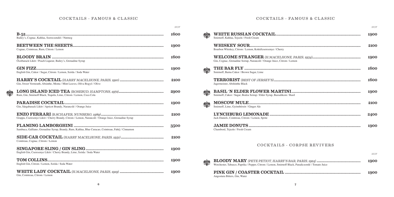# COCKTAILS - FAMOUS & CLASSIC

|                                                                                                     | <b>HUF</b> |
|-----------------------------------------------------------------------------------------------------|------------|
| Bailey's, Cognac, Kahlua, Szerecsendió / Nutmeg                                                     | 1600       |
|                                                                                                     |            |
| Cognac, Cointreau, Rum, Citrom / Lemon                                                              | 1900       |
| Őszibarack Likör / Peach Liqueur, Bailey's, Grenadine Syrup                                         | 1600       |
| English Gin, Cukor / Sugar, Citrom / Lemon, Szóda / Soda Water                                      | 1900       |
| Gin, Sweet Vermouth, Absinthe, Menta / Mint Leaves, Olíva Bogyó / Olive                             | 2100       |
| Rum, Gin, Smirnoff Black, Tequila, Lime, Citrom / Lemon, Coca Cola                                  | 2900       |
| Gin, Sárgabarack Likör / Apricot Brandy, Narancslé / Orange Juice                                   | 1900       |
| Grappa, Cseresznye Likör / Cherry Brandy, Citrom / Lemon, Narancslé / Orange Juice, Grenadine Syrup | 2100       |
| Sambuca, Galliano, Grenadine Syrup, Brandy, Rum, Kahlua, Blue Curacao, Cointreau, Fahéj / Cinnamon  | 3500       |
| Cointreau, Cognac, Citrom / Lemon                                                                   | 2100       |
| English Gin, Cseresznye Likör / Cherry Brandy, Lime, Szóda / Soda Water                             | 1900       |
| English Gin, Citrom / Lemon, Szóda / Soda Water                                                     | 1900       |
| Gin. Cointreau. Citrom / Lemon                                                                      | 1900       |

# COCKTAILS - FAMOUS & CLASSIC

|                                                                                                    | <b>HUF</b> |
|----------------------------------------------------------------------------------------------------|------------|
| Smirnoff, Kahlua, Tejszín / Fresh Cream                                                            | 1900       |
| Bourbon Whiskey, Citrom / Lemon, Koktélcseresznye / Cherry                                         | 2100       |
| Gin, Cognac, Grenadine Szirup, Narancslé / Orange Juice, Citrom / Lemon                            | 1900       |
| Smirnoff, Barna Cukor / Brown Sugar, Lime                                                          | 1600       |
| Jagermeister, Abshinthe Black                                                                      | 1600       |
| Smirnoff, Cukor / Sugar, Bodza Szirup / Elder Syrup, Bazsalikom / Basil                            | 1900       |
| Smirnoff, Lime, Gyömbérsör / Ginger Ale                                                            | 2100       |
| Jack Daniels, Cointreau, Citrom / Lemon, Sprite                                                    | 2400       |
| Chambord, Tejszín / Fresh Cream                                                                    | 1900       |
| COCKTAILS - CORPSE REVIVERS                                                                        |            |
|                                                                                                    | <b>HUF</b> |
| Worchester, Tabasco, Paprika / Pepper, Citrom / Lemon, Smirnoff Black, Paradicsomlé / Tomato Juice | 1900       |
|                                                                                                    | 1900       |

Angostura Bitters, Gin, Water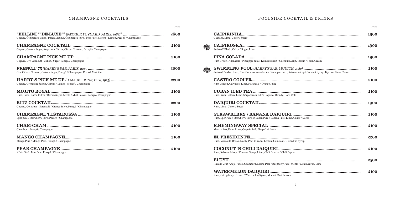# CHAMPAGNE COCKTAILS

|                                                                                                           | <b>HUF</b> |
|-----------------------------------------------------------------------------------------------------------|------------|
| Cognac, Őszibarack Likör / Peach Liqueur, Öszibarack Püré / Pear Pure, Citrom / Lemon, Pezsgő / Champagne | 2600       |
| Cognac, Cukor / Sugar, Angostura Bittres, Citrom / Lemon, Pezsgő / Champagne                              | 2100       |
| Cognac, Dry Vermouth, Cukor / Sugar, Pezsgő / Champagne                                                   | 2100       |
| Gin, Citrom / Lemon, Cukor / Sugar, Pezsgő / Champagne, Pernod Absinthe                                   | 2600       |
| Cognac, Grenadine Szirup, Citrom / Lemon, Pezsgő / Champagne                                              | 2200       |
| Rum, Lime, Barna Cukor / Brown Sugar, Menta / Mint Leaves, Pezsgő / Champagne                             | 2100       |
| Cognac, Cointreau, Narancslé / Orange Juice, Pezsgő / Champagne                                           | 2200       |
| Eper püré / Strawberry Pure, Pezsgő / Champagne                                                           | 2100       |
| Chambord, Pezsgő / Champagne                                                                              | 2100       |
| Mangó Püré / Mango Pure, Pezsgő / Champagne                                                               | 2100       |
|                                                                                                           | 2100       |

Körte Püré / Pear Pure, Pezsgő / Champagne

# POOLSIDE COCKTAIL & DRINKS

|                                                                                                                      | <b>HUF</b> |
|----------------------------------------------------------------------------------------------------------------------|------------|
| Cachaca, Lime, Cukor / Sugar                                                                                         | 1900       |
| Smirnoff Black, Cukor / Sugar, Lime                                                                                  | 1900       |
| Rum Brown, Ananászlé / Pineapple Juice, Kókusz szirup / Coconut Syrup, Tejszín / Fresh Cream                         | 1900       |
| Smirnoff Vodka, Rum, Blue Curacao, Ananászlé / Pineapple Juice, Kókusz szirup / Coconut Syrup, Tejszín / Fresh Cream | 2100       |
| Rum Golden, Calvados, Lime, Narancslé / Orange Juice                                                                 | 2100       |
| Rum, Rum Golden, Lime, Sárgabarack Likör / Apricot Brandy, Coca Cola                                                 | 2100       |
| Rum, Lime, Cukor / Sugar                                                                                             | 1900       |
| Rum, Eper Püré / Strawberry Pure or Banán Püré / Banana Pure, Lime, Cukor / Sugar                                    | 2100       |
| Maraschino, Rum, Lime, Grapefruitlé / Grapefruit Juice                                                               | 2100       |
| Rum, Vermouth Rosso, Noilly Prat, Citrom / Lemon, Cointreau, Grenadine Syrup                                         | 2200       |
| Rum, Kókusz Szirup / Coconut Syrup, Lime, Chili Paprika / Chili Pepper                                               | 2100       |
| Havana Club Anejo 7anos, Chambord, Málna Püré / Raspberry Pure, Menta / Mint Leaves, Lime                            | 2500       |
| Rum, Görögdinnye Szirup / Watermelon Syrup, Menta / Mint Leaves                                                      | 2100       |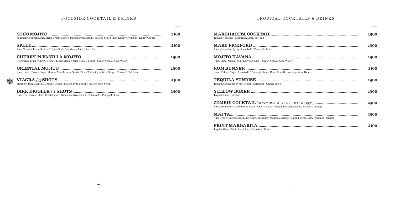# POOLSIDE COCKTAIL & DRINKS

|                                                                                                                         | <b>HUF</b> |
|-------------------------------------------------------------------------------------------------------------------------|------------|
| Southern Comfort, Lime, Menta / Mint Leaves, Passion Fruit Szirup / Passion Fruit Syrup, Kinley Gyömbér / Kinley Ginger | 2100       |
| Rum, Tequila Silver, Smirnoff, Eper Püré / Strawberry Pure, Lime, Burn                                                  | 2100       |
| Cseresznye Likör / Cherry Brandy, Lime, Menta / Mint Leaves, Cukor / Sugar, Szóda / Soda Water                          | 1900       |
| Rum, Lime, Cukor / Sugar, Menta / Mint Leaves, Szóda / Soda Water, Gyömbér / Ginger, Citromfű / Melissa                 | 1900       |
| Smirnoff, Blue Curacao, Citrom / Lemon, Passion Fruit Szirup / Passion Fruit Syrup                                      | 2400       |
| Rum, Őszibarack Likör / Peach Liquer, Grenadine Syrup, Lime, Ananászlé / Pineapple Juice                                | 2400       |

# TROPICAL COCKTAILS & DRINKS

|                                                                                                      | HUF  |
|------------------------------------------------------------------------------------------------------|------|
| Tequila Reposado, Cointreau, Lime, Só / Salt                                                         | 1900 |
| Rum, Grenadine Syrup, Ananászlé / Pineapple Juice                                                    | 1900 |
| Rum, Lime, Menta / Mint Leaves, Cukor / Sugar, Szóda / Soda Water                                    | 1900 |
| Lime, Cukor / Sugar, Ananászlé / Pineapple Juice, Rum, Rum Brown, Angostura Bitters                  | 2100 |
| Tequila, Grenadine Syrup, Lemon, Narancslé / Orange Juice                                            | 1900 |
| Tequila, Lime, Galliano                                                                              | 1900 |
| Rum, Rum Brown, Cseresznye Likör / Cherry Brandy, Grenadine Syrup, Lime, Narancs / Orange            | 2900 |
| Rum Brown, Sárgabarack Likör / Apricot Brandy, Mandula Szirup / Almond Syrup, Lime, Narancs / Orange | 2900 |
|                                                                                                      | 2100 |

Tequila Silver, Triple Sec, Lime, Gyümölcs / Fruits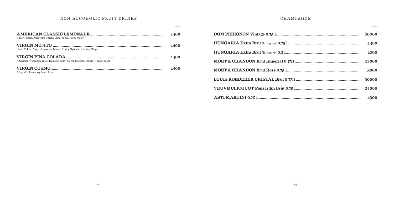# NON-ALCOHOLIC FRUIT DRINKS

|                                                                                   | <b>HUF</b>  |
|-----------------------------------------------------------------------------------|-------------|
| Cukor / Sugar, Angostura Bitters, Lime, Szóda / Soda Water                        | <b>1400</b> |
| Lime, Cukor / Sugar, Angostura Bitters, Kinley Gyömbér / Kinley Ginger            | <b>1400</b> |
| Ananászlé / Pineapple Juice, Kókusz szirup / Coconut Syrup, Tejszín / Fresh Cream | 1400        |
| Áfonyalé / Cranberry Juice, Lime                                                  | <b>1400</b> |

# **CHAMPAGNE**

| <b>HUF</b> |
|------------|
| 60000      |
| 4400       |
| 1000       |
| 22000      |
| 3000       |
| 90000      |
| 24000      |
|            |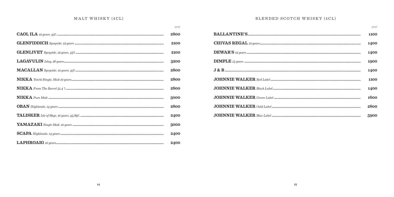# MALT WHISKY (4CL)

|                                                                                                                                                                                                                                                                                                                                                                                           | <b>HUF</b> |
|-------------------------------------------------------------------------------------------------------------------------------------------------------------------------------------------------------------------------------------------------------------------------------------------------------------------------------------------------------------------------------------------|------------|
|                                                                                                                                                                                                                                                                                                                                                                                           | 2800       |
|                                                                                                                                                                                                                                                                                                                                                                                           | 2100       |
|                                                                                                                                                                                                                                                                                                                                                                                           | 2100       |
| $\textbf{LAGAVULIN} \textit{Islay, 16 years} \textit{} \textit{} \textit{} \textit{} \textit{} \textit{} \textit{} \textit{} \textit{} \textit{} \textit{} \textit{} \textit{} \textit{} \textit{} \textit{} \textit{} \textit{} \textit{} \textit{} \textit{} \textit{} \textit{} \textit{} \textit{} \textit{} \textit{} \textit{} \textit{} \textit{} \textit{} \textit{} \textit{} \$ | 3200       |
|                                                                                                                                                                                                                                                                                                                                                                                           | 2800       |
|                                                                                                                                                                                                                                                                                                                                                                                           | 2800       |
|                                                                                                                                                                                                                                                                                                                                                                                           | 2800       |
|                                                                                                                                                                                                                                                                                                                                                                                           | 3000       |
|                                                                                                                                                                                                                                                                                                                                                                                           | 2800       |
|                                                                                                                                                                                                                                                                                                                                                                                           | 2400       |
|                                                                                                                                                                                                                                                                                                                                                                                           | 3000       |
| ${\bf SCAPA}~\it High lands, 14~years~mm$                                                                                                                                                                                                                                                                                                                                                 | 2400       |
|                                                                                                                                                                                                                                                                                                                                                                                           | 2400       |

# BLENDED SCOTCH WHISKY (4CL)

|                                                                                                                                                                                                                                                                                                                                                                                                                                                        | <b>HIJF</b> |
|--------------------------------------------------------------------------------------------------------------------------------------------------------------------------------------------------------------------------------------------------------------------------------------------------------------------------------------------------------------------------------------------------------------------------------------------------------|-------------|
|                                                                                                                                                                                                                                                                                                                                                                                                                                                        | 1100        |
| $\textbf{CHIVAS}\ \textbf{REGAL}\ \textit{12 years}.\ \textcolor{red}{\textbf{597}25} \textcolor{red}{\textbf{59}35} \textcolor{red}{\textbf{59}35} \textcolor{red}{\textbf{59}35} \textcolor{red}{\textbf{59}35} \textcolor{red}{\textbf{59}35} \textcolor{red}{\textbf{59}35} \textcolor{red}{\textbf{59}35} \textcolor{red}{\textbf{59}35} \textcolor{red}{\textbf{59}35} \textcolor{red}{\textbf{59}35} \textcolor{red}{\textbf{59}35} \textcolor$ | 1400        |
|                                                                                                                                                                                                                                                                                                                                                                                                                                                        | 1400        |
|                                                                                                                                                                                                                                                                                                                                                                                                                                                        | 1900        |
|                                                                                                                                                                                                                                                                                                                                                                                                                                                        | 1400        |
|                                                                                                                                                                                                                                                                                                                                                                                                                                                        | 1100        |
|                                                                                                                                                                                                                                                                                                                                                                                                                                                        | 1400        |
|                                                                                                                                                                                                                                                                                                                                                                                                                                                        | 1600        |
|                                                                                                                                                                                                                                                                                                                                                                                                                                                        | 2800        |
|                                                                                                                                                                                                                                                                                                                                                                                                                                                        | 5900        |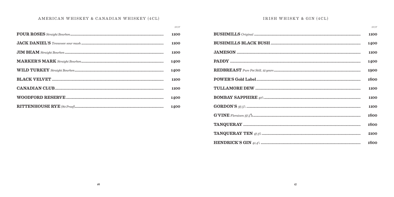# AMERICAN WHISKEY & CANADIAN WHISKEY (4CL)

| <b>HUF</b> |
|------------|
| 1100       |
| 1100       |
| 1100       |
| 1400       |
| 1400       |
| 1100       |
| 1100       |
| 1400       |
| 1400       |

# IRISH WHISKY & GIN (4CL)

|                                                                                          | <b>HUF</b> |
|------------------------------------------------------------------------------------------|------------|
|                                                                                          | 1100       |
|                                                                                          | 1400       |
|                                                                                          | 1100       |
|                                                                                          | 1400       |
|                                                                                          | 1900       |
|                                                                                          | 1600       |
|                                                                                          | 1100       |
|                                                                                          | 1100       |
|                                                                                          | 1100       |
| ${\bf G'VINE}$<br>${ \bf F } { {\it I} or a is on~37.5}$ ${ \bf W } { \bf W } { \bf W }$ | 1600       |
|                                                                                          | 1600       |
|                                                                                          | 2100       |
|                                                                                          | 1600       |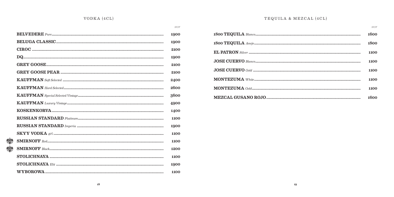${\cal H}{\cal U}{\cal F}$ 

| 1900<br>1900<br>2100<br>1900<br>2100 |
|--------------------------------------|
|                                      |
|                                      |
|                                      |
|                                      |
|                                      |
| 2100                                 |
| 2400                                 |
| 2600                                 |
| 3600                                 |
| 4900                                 |
| 1400                                 |
| 1100                                 |
| 1900                                 |
| 1100                                 |
| 1100                                 |
| 1200                                 |
| 1100                                 |
| 1900                                 |
| 1100                                 |
|                                      |

# TEQUILA & MEZCAL (4CL)

| <b>HUF</b> |
|------------|
| 1600       |
| 1800       |
| 1100       |
| 1100       |
| 1100       |
| 1100       |
| 1100       |
| 1600       |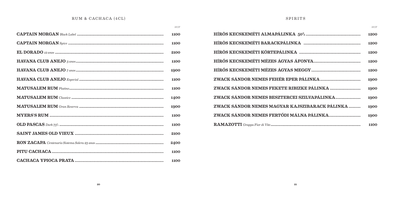# RUM & CACHACA (4CL)

 $HUF$ 

|                                                                                                                                                                                                                                                                                                                                                                                          | 1100 |
|------------------------------------------------------------------------------------------------------------------------------------------------------------------------------------------------------------------------------------------------------------------------------------------------------------------------------------------------------------------------------------------|------|
|                                                                                                                                                                                                                                                                                                                                                                                          | 1100 |
|                                                                                                                                                                                                                                                                                                                                                                                          | 2100 |
| ${\bf HAVANA \; CLUB \; ANEJO \; \textit{3} \; \textit{anos} \; \textit{} \textit{} \textit{} \textit{} \textit{} \textit{} \textit{} \textit{} \textit{} \textit{} \textit{} \textit{} \textit{} \textit{} \textit{} \textit{} \textit{} \textit{} \textit{} \textit{} \textit{} \textit{} \textit{} \textit{} \textit{} \textit{} \textit{} \textit{} \textit{} \textit{} \textit{} \$ | 1100 |
|                                                                                                                                                                                                                                                                                                                                                                                          | 1900 |
|                                                                                                                                                                                                                                                                                                                                                                                          | 1100 |
|                                                                                                                                                                                                                                                                                                                                                                                          | 1100 |
|                                                                                                                                                                                                                                                                                                                                                                                          | 1400 |
|                                                                                                                                                                                                                                                                                                                                                                                          | 1900 |
|                                                                                                                                                                                                                                                                                                                                                                                          | 1100 |
|                                                                                                                                                                                                                                                                                                                                                                                          | 1100 |
|                                                                                                                                                                                                                                                                                                                                                                                          | 2100 |
|                                                                                                                                                                                                                                                                                                                                                                                          | 2400 |
|                                                                                                                                                                                                                                                                                                                                                                                          | 1100 |
|                                                                                                                                                                                                                                                                                                                                                                                          | 1100 |

# ${\tt SPIRITS}$

|                                                | HUF. |
|------------------------------------------------|------|
|                                                | 1200 |
|                                                | 1200 |
|                                                | 1200 |
|                                                | 1200 |
|                                                | 1200 |
|                                                | 1900 |
|                                                | 1900 |
| ZWACK SÁNDOR NEMES BESZTERCEI SZILVAPÁLINKA    | 1900 |
| ZWACK SÁNDOR NEMES MAGYAR KAJSZIBARACK PÁLINKA | 1900 |
|                                                | 1900 |
|                                                | 1100 |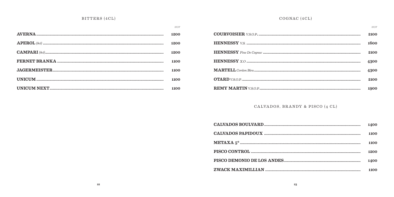|                            | <b>HUF</b> |
|----------------------------|------------|
|                            | 1200       |
|                            | 1200       |
|                            | 1200       |
|                            | 1100       |
|                            | 1100       |
| $\mathbf{UNICUM}\textrm{}$ | 1100       |
|                            | 1100       |

# COGNAC (4CL)

| HU F |
|------|
| 2100 |
| 1600 |
| 2100 |
| 4300 |
| 4300 |
| 2100 |
| 1900 |

CALVADOS, BRANDY & PISCO (4 CL)

| 1400 |
|------|
| 1100 |
| 1100 |
| 1200 |
| 1400 |
| 1100 |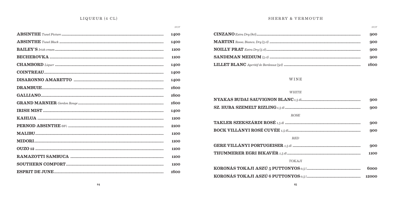${\cal H}{\cal U}{\cal F}$ 

| 1400 |
|------|
| 1400 |
| 1100 |
| 1100 |
| 1400 |
| 1400 |
| 1400 |
| 1600 |
| 1600 |
| 1600 |
| 1400 |
| 1100 |
| 2100 |
| 1100 |
| 1100 |
| 1100 |
| 1100 |
| 1100 |
| 1600 |

#### SHERRY & VERMOUTH

#### ${\cal H}{\cal U}{\cal F}$ 900 900  $\textbf{NOILLY} \ \textbf{P}\textbf{R}\textbf{A}\textbf{T} \ \textit{Extra} \ \textit{Dry}\ (5 \ \textit{cl}) \ \textbf{........} \ \textbf{........} \ \textbf{........} \ \textbf{........} \ \textbf{........} \ \textbf{........} \ \textbf{........} \ \textbf{........} \ \textbf{........} \ \textbf{........} \ \textbf{........}$ 900 900 1600

# WINE

#### WHITE

| $\mathbf{NYAKAS} \textbf{BUDAI} \textbf{SAUVIGNON} \textbf{BLANC}_{1,5} \textit{dl} \textbf{} \textbf{} \textbf{} \textbf{} \textbf{} \textbf{} \textbf{} \textbf{} \textbf{} \textbf{} \textbf{} \textbf{} \textbf{} \textbf{} \textbf{} \textbf{} \textbf{} \textbf{} \textbf{} \textbf{} \textbf{} \textbf{} \textbf{} \textbf{} \textbf{} \textbf{} \textbf{} \textbf{} \textbf{} \textbf$                                            | 900   |
|-------------------------------------------------------------------------------------------------------------------------------------------------------------------------------------------------------------------------------------------------------------------------------------------------------------------------------------------------------------------------------------------------------------------------------------------|-------|
|                                                                                                                                                                                                                                                                                                                                                                                                                                           | 900   |
| <b>ROSE</b>                                                                                                                                                                                                                                                                                                                                                                                                                               |       |
| $\textbf{TAKLER}\textbf{SZEKSZ\'{a}RDI}\textbf{ ROS}\acute{\textbf{E}}\textbf{ \textit{1,5 d}\textit{}}\textbf{ \textit{}}\textbf{ \textit{}}\textbf{ \textit{}}\textbf{ \textit{}}\textbf{ \textit{}}\textbf{ \textit{}}\textbf{ \textit{}}\textbf{ \textit{}}\textbf{ \textit{}}\textbf{ \textit{}}\textbf{ \textit{}}\textbf{ \textit{}}\textbf{ \textit{}}\textbf{ \textit{}}\textbf{ \textit{}}\textbf{ \textit{}}\textbf{ \textit{$ | 900   |
|                                                                                                                                                                                                                                                                                                                                                                                                                                           | 900   |
| <b>RED</b>                                                                                                                                                                                                                                                                                                                                                                                                                                |       |
|                                                                                                                                                                                                                                                                                                                                                                                                                                           | 900   |
| $\bf THUMMERER EGRI BIKAVER {\it 1,5 d1}$                                                                                                                                                                                                                                                                                                                                                                                                 | 1100  |
| TOKA.II                                                                                                                                                                                                                                                                                                                                                                                                                                   |       |
|                                                                                                                                                                                                                                                                                                                                                                                                                                           | 6000  |
| ${\bf KORONAS\ TOKAJI\ ASZÚ\ 6\ PUTTONYOS \ }o,51$                                                                                                                                                                                                                                                                                                                                                                                        | 12000 |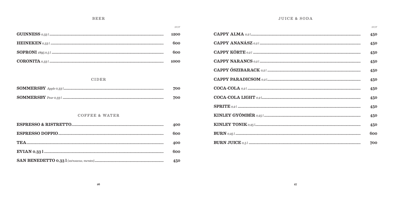#### **BEER**

 ${\cal H}{\cal U}{\cal F}$ 

| 1200 |
|------|
| 600  |
| ჩიი  |
| 1000 |

#### CIDER

| ${\bf SOMMERSBY} \ \textit{Apple 0.33}\ \textit{l} \textit{} \textit{} \textit{} \textit{} \textit{} \textit{} \textit{} \textit{}$ | 700 |
|-------------------------------------------------------------------------------------------------------------------------------------|-----|
|                                                                                                                                     | 700 |

# COFFEE & WATER

| 400 |
|-----|
| 600 |
| 400 |
| 600 |
| 450 |

# **JUICE & SODA**

**TAXABLE** 

|                                                                                                                                                                                                                                                                                                                                                                                                        | <b>HUF</b> |
|--------------------------------------------------------------------------------------------------------------------------------------------------------------------------------------------------------------------------------------------------------------------------------------------------------------------------------------------------------------------------------------------------------|------------|
| ${\bf CAPPY\ ALMA} \ _{0,2}1\\$                                                                                                                                                                                                                                                                                                                                                                        | 450        |
|                                                                                                                                                                                                                                                                                                                                                                                                        | 450        |
|                                                                                                                                                                                                                                                                                                                                                                                                        | 450        |
| ${\bf CAPPY\ NARANCS} \ _{0,2}1\\$                                                                                                                                                                                                                                                                                                                                                                     | 450        |
|                                                                                                                                                                                                                                                                                                                                                                                                        | 450        |
|                                                                                                                                                                                                                                                                                                                                                                                                        | 450        |
| $\textbf{COCA-COLA}\xspace\;a, 21\;a, 32\;a, 43\;a, 54\;a, 64\;a, 65\;a, 66\;a, 67\;a, 68\;a, 69\;a, 69\;a, 69\;a, 69\;a, 69\;a, 69\;a, 69\;a, 69\;a, 69\;a, 69\;a, 69\;a, 69\;a, 69\;a, 69\;a, 69\;a, 69\;a, 69\;a, 69\;a, 69\;a, 69\;a, 6$                                                                                                                                                           | 450        |
| $\textbf{COCA-COLA~LIGHT}~{_{0,2}1} {_{\hspace{-0.5mm}{\textbf{1}}}}{_{\hspace{-0.5mm}{\textbf{1}}}}{_{\hspace{-0.5mm}{\textbf{2}}}}{_{\hspace{-0.5mm}{\textbf{2}}}}{_{\hspace{-0.5mm}{\textbf{2}}}}{_{\hspace{-0.5mm}{\textbf{2}}}}{_{\hspace{-0.5mm}{\textbf{2}}}}{_{\hspace{-0.5mm}{\textbf{2}}}}{_{\hspace{-0.5mm}{\textbf{2}}}}{_{\hspace{-0.5mm}{\textbf{2}}}}{_{\hspace{-0.5mm}{\textbf{2}}}}{$ | 450        |
|                                                                                                                                                                                                                                                                                                                                                                                                        | 450        |
| $\textbf{KINLEY GYÖMBÉR}\text{ } \text{o,251} \text{}$                                                                                                                                                                                                                                                                                                                                                 | 450        |
|                                                                                                                                                                                                                                                                                                                                                                                                        | 450        |
|                                                                                                                                                                                                                                                                                                                                                                                                        | 600        |
|                                                                                                                                                                                                                                                                                                                                                                                                        | 700        |